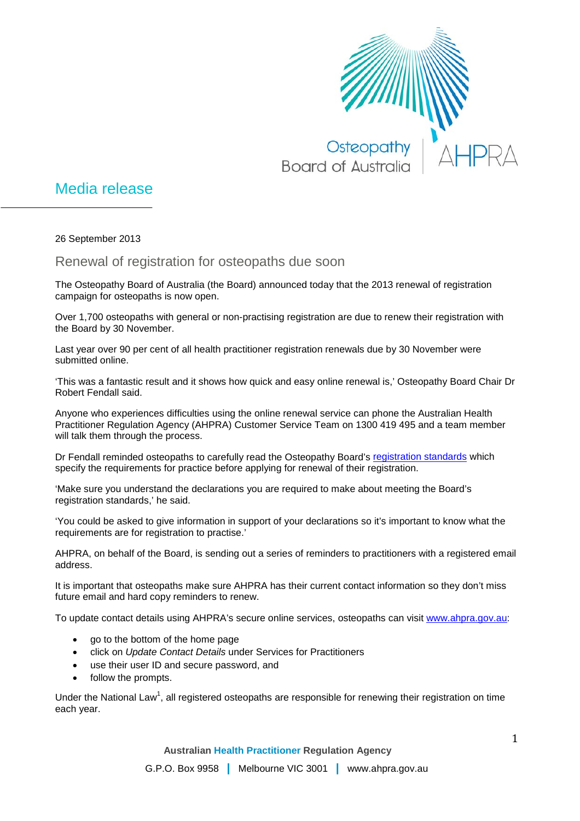

## Media release

26 September 2013

Renewal of registration for osteopaths due soon

The Osteopathy Board of Australia (the Board) announced today that the 2013 renewal of registration campaign for osteopaths is now open.

Over 1,700 osteopaths with general or non-practising registration are due to renew their registration with the Board by 30 November.

Last year over 90 per cent of all health practitioner registration renewals due by 30 November were submitted online.

'This was a fantastic result and it shows how quick and easy online renewal is,' Osteopathy Board Chair Dr Robert Fendall said.

Anyone who experiences difficulties using the online renewal service can phone the Australian Health Practitioner Regulation Agency (AHPRA) Customer Service Team on 1300 419 495 and a team member will talk them through the process.

Dr Fendall reminded osteopaths to carefully read the Osteopathy Board's [registration standards](http://www.osteopathyboard.gov.au/Registration-Standards.aspx) which specify the requirements for practice before applying for renewal of their registration.

'Make sure you understand the declarations you are required to make about meeting the Board's registration standards,' he said.

'You could be asked to give information in support of your declarations so it's important to know what the requirements are for registration to practise.'

AHPRA, on behalf of the Board, is sending out a series of reminders to practitioners with a registered email address.

It is important that osteopaths make sure AHPRA has their current contact information so they don't miss future email and hard copy reminders to renew.

To update contact details using AHPRA's secure online services, osteopaths can visit [www.ahpra.gov.au:](http://www.ahpra.gov.au/)

- go to the bottom of the home page
- click on *Update Contact Details* under Services for Practitioners
- use their user ID and secure password, and
- follow the prompts.

Under the National Law<sup>1</sup>, all registered osteopaths are responsible for renewing their registration on time each year.

**Australian Health Practitioner Regulation Agency**